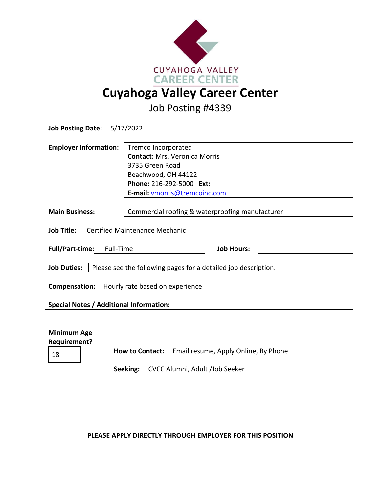

Job Posting #4339

| Job Posting Date: 5/17/2022                                                                             |                                                                                                                                                                    |
|---------------------------------------------------------------------------------------------------------|--------------------------------------------------------------------------------------------------------------------------------------------------------------------|
| <b>Employer Information:</b>                                                                            | Tremco Incorporated<br><b>Contact: Mrs. Veronica Morris</b><br>3735 Green Road<br>Beachwood, OH 44122<br>Phone: 216-292-5000 Ext:<br>E-mail: vmorris@tremcoinc.com |
| <b>Main Business:</b>                                                                                   | Commercial roofing & waterproofing manufacturer                                                                                                                    |
| Job Title: Certified Maintenance Mechanic                                                               |                                                                                                                                                                    |
| Full/Part-time: Full-Time                                                                               | <b>Job Hours:</b>                                                                                                                                                  |
| <b>Job Duties:</b>                                                                                      | Please see the following pages for a detailed job description.                                                                                                     |
| <b>Compensation:</b> Hourly rate based on experience<br><b>Special Notes / Additional Information:</b>  |                                                                                                                                                                    |
|                                                                                                         |                                                                                                                                                                    |
| <b>Minimum Age</b><br><b>Requirement?</b><br>How to Contact: Email resume, Apply Online, By Phone<br>18 |                                                                                                                                                                    |

**Seeking:** CVCC Alumni, Adult /Job Seeker

**PLEASE APPLY DIRECTLY THROUGH EMPLOYER FOR THIS POSITION**